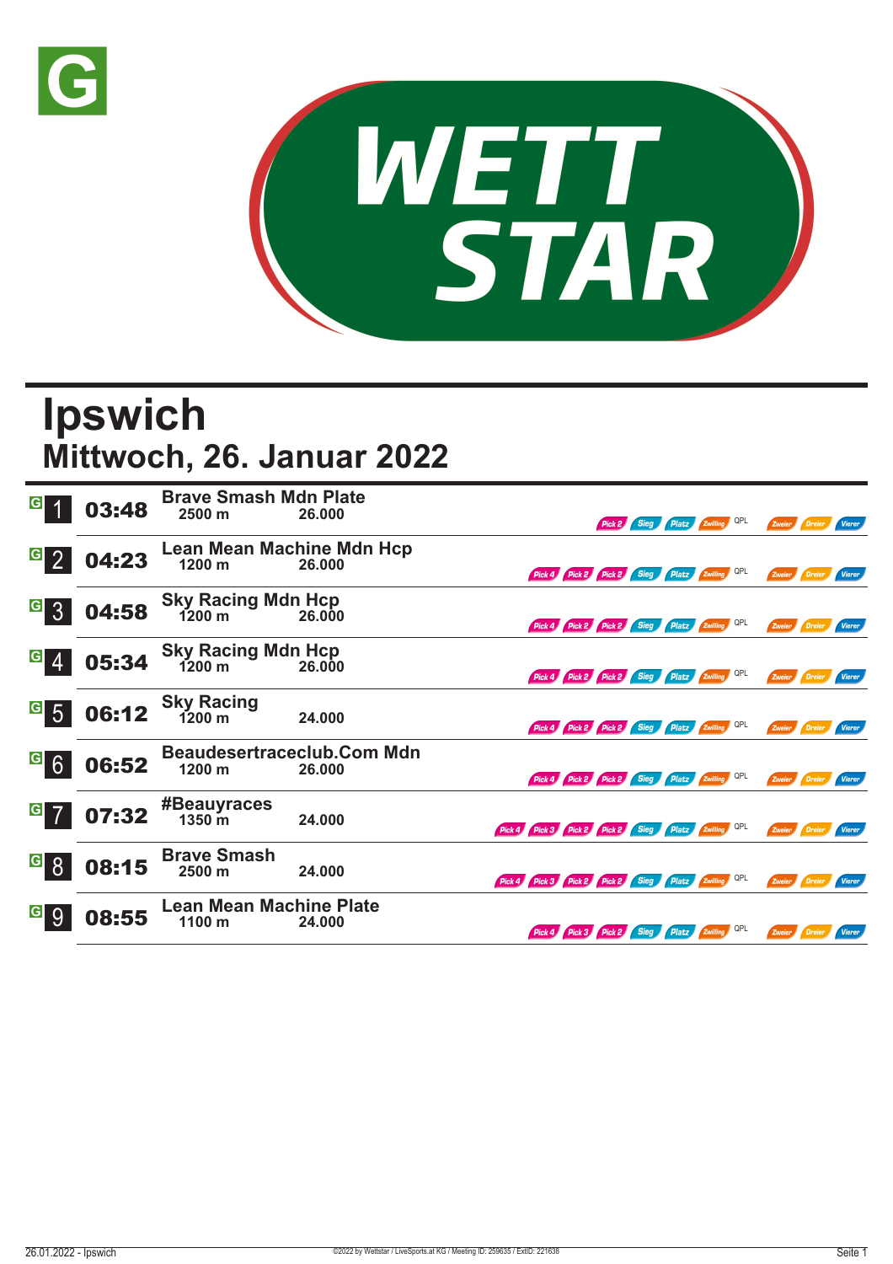



## **Ipswich Mittwoch, 26. Januar 2022**

| G                               | 03:48 | <b>Brave Smash Mdn Plate</b><br>2500 m        | 26.000                                      |                                                     | Pick 2 Sieg Platz Zwilling QPL |  |     |               | Zweier Dreier | <b>Vierer</b> |
|---------------------------------|-------|-----------------------------------------------|---------------------------------------------|-----------------------------------------------------|--------------------------------|--|-----|---------------|---------------|---------------|
| $G_{2}$                         | 04:23 | Lean Mean Machine Mdn Hcp<br>1200 m<br>26.000 |                                             | Pick 4 Pick 2 Pick 2 Sieg Platz Zwilling            |                                |  | QPL | Zweier        | Dreier        | Vierer        |
| $\vert G \vert$<br>$\mathbf{3}$ | 04:58 | <b>Sky Racing Mdn Hcp</b><br>$1200 \text{ m}$ | 26.000                                      | Pick 4 Pick 2 Pick 2 Sieg Platz Zwilling QPL        |                                |  |     |               | Zweier Dreier | Vierer        |
| G <br>-4                        | 05:34 | <b>Sky Racing Mdn Hcp</b><br>1200 m           | 26.000                                      | Pick 4 Pick 2 Pick 2 Sieg Platz Zwilling QPL        |                                |  |     | Zweier Dreier |               | <b>Vierer</b> |
| G <br>$5\overline{)}$           | 06:12 | <b>Sky Racing</b><br>1200 m                   | 24.000                                      | Pick 4 Pick 2 Pick 2 Sieg Platz Zwilling QPL        |                                |  |     | Zweier Dreier |               | Vierer        |
| $G$ 6                           | 06:52 | 1200 m                                        | <b>Beaudesertraceclub.Com Mdn</b><br>26.000 | Pick 4 Pick 2 Pick 2 Sieg Platz Zwilling QPL        |                                |  |     |               | Zweier Dreier | Vierer        |
| $G$ 7                           | 07:32 | #Beauyraces<br>$1350 \; \text{m}$             | 24.000                                      | Pick 4 Pick 3 Pick 2 Pick 2 Sieg Platz Zwilling QPL |                                |  |     |               | Zweier Dreier | Vierer        |
| <u>ြေ </u>                      | 08:15 | <b>Brave Smash</b><br>2500 m                  | 24.000                                      | Pick 4 Pick 3 Pick 2 Pick 2 Sieg Platz Zwilling QPL |                                |  |     |               | Zweier Dreier | Vierer        |
| G <br>9                         | 08:55 | <b>Lean Mean Machine Plate</b><br>1100 m      | 24.000                                      | Pick 4 Pick 3 Pick 2 Sieg Platz Zwilling QPL        |                                |  |     |               | Zweier Dreier | <b>Vierer</b> |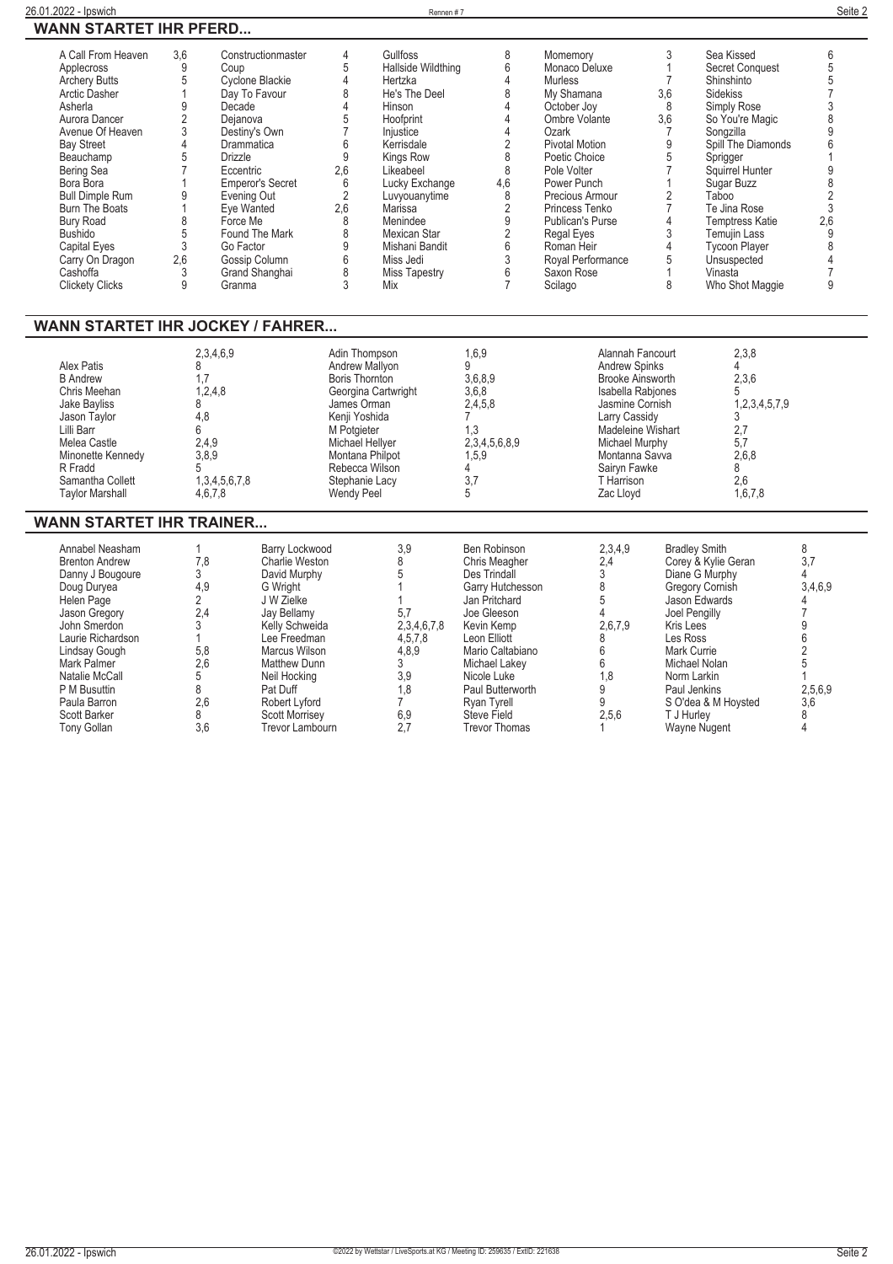| A Call From Heaven<br>Applecross<br><b>Archery Butts</b><br><b>Arctic Dasher</b><br>Asherla<br>Aurora Dancer<br>Avenue Of Heaven<br><b>Bay Street</b><br>Beauchamp<br>Bering Sea<br>Bora Bora<br><b>Bull Dimple Rum</b><br><b>Burn The Boats</b><br><b>Bury Road</b><br><b>Bushido</b><br>Capital Eyes<br>Carry On Dragon<br>Cashoffa<br><b>Clickety Clicks</b><br><b>WANN STARTET IHR JOCKEY / FAHRER</b> | 3,6<br>9<br>Coup<br>$\sqrt{5}$<br>1<br>9<br>Decade<br>$\overline{2}$<br>Dejanova<br>3<br>Destiny's Own<br>4<br>Drammatica<br>5<br><b>Drizzle</b><br>$\overline{7}$<br>Eccentric<br>1<br>9<br>Evening Out<br>Eye Wanted<br>1<br>8<br>Force Me<br>5<br>3<br>Go Factor<br>2,6<br>3<br>9<br>Granma | Constructionmaster<br>Cyclone Blackie<br>Day To Favour<br><b>Emperor's Secret</b><br>Found The Mark<br>Gossip Column<br>Grand Shanghai                                                                                                                                     | $\overline{4}$<br>$\mathbf 5$<br>$\overline{4}$<br>$\,8\,$<br>$\overline{4}$<br>$\overline{5}$<br>$\overline{7}$<br>$\boldsymbol{6}$<br>9<br>2,6<br>6<br>$\overline{2}$<br>2,6<br>$\overline{8}$<br>$\,8\,$<br>$\overline{9}$<br>$6\,$<br>$\,8\,$<br>3<br>Mix | Gullfoss<br>Hallside Wildthing<br>Hertzka<br>He's The Deel<br>Hinson<br>Hoofprint<br>Injustice<br>Kerrisdale<br>Kings Row<br>Likeabeel<br>Lucky Exchange<br>Luvyouanytime<br>Marissa<br>Menindee<br>Mexican Star<br>Mishani Bandit<br>Miss Jedi<br><b>Miss Tapestry</b> | 8<br>6<br>$\overline{4}$<br>8<br>$\overline{4}$<br>$\overline{4}$<br>$\overline{4}$<br>$\overline{2}$<br>8<br>8<br>4,6<br>8<br>$\overline{2}$<br>$\overline{9}$<br>$\overline{2}$<br>6<br>3<br>$6\phantom{1}$<br>$\overline{7}$                                      | Momemory<br>Monaco Deluxe<br><b>Murless</b><br>My Shamana<br>October Joy<br>Ombre Volante<br>Ozark<br><b>Pivotal Motion</b><br>Poetic Choice<br>Pole Volter<br>Power Punch<br>Precious Armour<br>Princess Tenko<br><b>Publican's Purse</b><br>Regal Eyes<br>Roman Heir<br>Royal Performance<br>Saxon Rose<br>Scilago |                                                                                                                                                                                                                                  | 3<br>$\mathbf{1}$<br>$\overline{7}$<br>3,6<br>8<br>3,6<br>$\overline{7}$<br>9<br>5<br>$\overline{7}$<br>$\mathbf{1}$<br>$\sqrt{2}$<br>$\overline{7}$<br>$\overline{4}$<br>$\ensuremath{\mathsf{3}}$<br>$\overline{4}$<br>$\sqrt{5}$<br>$\mathbf{1}$<br>8 | Sea Kissed<br><b>Secret Conquest</b><br>Shinshinto<br><b>Sidekiss</b><br>Simply Rose<br>So You're Magic<br>Songzilla<br>Spill The Diamonds<br>Sprigger<br>Squirrel Hunter<br>Sugar Buzz<br>Taboo<br>Te Jina Rose<br><b>Temptress Katie</b><br><b>Temujin Lass</b><br><b>Tycoon Player</b><br>Unsuspected<br>Vinasta<br>Who Shot Maggie | 6<br>5<br>$\overline{5}$<br>$\overline{7}$<br>$\frac{3}{8}$<br>$\overline{9}$<br>$\overline{6}$<br>$\overline{1}$<br>$\overline{9}$<br>$\frac{8}{2}$<br>3<br>2,6<br>9<br>8<br>$\overline{4}$<br>$\overline{7}$<br>9 |
|------------------------------------------------------------------------------------------------------------------------------------------------------------------------------------------------------------------------------------------------------------------------------------------------------------------------------------------------------------------------------------------------------------|------------------------------------------------------------------------------------------------------------------------------------------------------------------------------------------------------------------------------------------------------------------------------------------------|----------------------------------------------------------------------------------------------------------------------------------------------------------------------------------------------------------------------------------------------------------------------------|---------------------------------------------------------------------------------------------------------------------------------------------------------------------------------------------------------------------------------------------------------------|-------------------------------------------------------------------------------------------------------------------------------------------------------------------------------------------------------------------------------------------------------------------------|----------------------------------------------------------------------------------------------------------------------------------------------------------------------------------------------------------------------------------------------------------------------|----------------------------------------------------------------------------------------------------------------------------------------------------------------------------------------------------------------------------------------------------------------------------------------------------------------------|----------------------------------------------------------------------------------------------------------------------------------------------------------------------------------------------------------------------------------|----------------------------------------------------------------------------------------------------------------------------------------------------------------------------------------------------------------------------------------------------------|----------------------------------------------------------------------------------------------------------------------------------------------------------------------------------------------------------------------------------------------------------------------------------------------------------------------------------------|---------------------------------------------------------------------------------------------------------------------------------------------------------------------------------------------------------------------|
| Alex Patis<br><b>B</b> Andrew<br>Chris Meehan<br><b>Jake Bayliss</b><br>Jason Taylor<br>Lilli Barr<br>Melea Castle<br>Minonette Kennedy<br>R Fradd<br>Samantha Collett<br><b>Taylor Marshall</b><br><b>WANN STARTET IHR TRAINER</b>                                                                                                                                                                        | 2,3,4,6,9<br>8<br>1.7<br>1,2,4,8<br>8<br>4,8<br>6<br>2,4,9<br>3.8.9<br>5<br>1,3,4,5,6,7,8<br>4,6,7,8                                                                                                                                                                                           |                                                                                                                                                                                                                                                                            | Adin Thompson<br>Andrew Mallyon<br><b>Boris Thornton</b><br>Georgina Cartwright<br>James Orman<br>Kenji Yoshida<br>M Potgieter<br>Michael Hellyer<br>Montana Philpot<br>Rebecca Wilson<br>Stephanie Lacy<br>Wendy Peel                                        |                                                                                                                                                                                                                                                                         | 1.6.9<br>9<br>3,6,8,9<br>3,6,8<br>2,4,5,8<br>$\overline{7}$<br>1,3<br>2,3,4,5,6,8,9<br>1,5,9<br>4<br>3,7<br>5                                                                                                                                                        |                                                                                                                                                                                                                                                                                                                      | Alannah Fancourt<br><b>Andrew Spinks</b><br><b>Brooke Ainsworth</b><br>Isabella Rabjones<br>Jasmine Cornish<br>Larry Cassidy<br>Madeleine Wishart<br>Michael Murphy<br>Montanna Savva<br>Sairyn Fawke<br>T Harrison<br>Zac Lloyd |                                                                                                                                                                                                                                                          | 2,3,8<br>4<br>2,3,6<br>5<br>1,2,3,4,5,7,9<br>3<br>2,7<br>5,7<br>2.6.8<br>8<br>2,6<br>1,6,7,8                                                                                                                                                                                                                                           |                                                                                                                                                                                                                     |
| Annabel Neasham<br><b>Brenton Andrew</b><br>Danny J Bougoure<br>Doug Duryea<br>Helen Page<br>Jason Gregory<br>John Smerdon<br>Laurie Richardson<br>Lindsay Gough<br>Mark Palmer<br>Natalie McCall<br>P M Busuttin<br>Paula Barron<br>Scott Barker<br>Tony Gollan                                                                                                                                           | $\mathbf{1}$<br>7,8<br>3<br>4,9<br>2<br>2,4<br>3<br>1<br>5,8<br>2,6<br>5<br>8<br>2,6<br>8<br>3.6                                                                                                                                                                                               | Barry Lockwood<br><b>Charlie Weston</b><br>David Murphy<br>G Wright<br>J W Zielke<br>Jay Bellamy<br>Kelly Schweida<br>Lee Freedman<br>Marcus Wilson<br><b>Matthew Dunn</b><br>Neil Hocking<br>Pat Duff<br>Robert Lyford<br><b>Scott Morrisey</b><br><b>Trevor Lambourn</b> |                                                                                                                                                                                                                                                               | 3,9<br>8<br>5<br>$\mathbf{1}$<br>1<br>5,7<br>2,3,4,6,7,8<br>4,5,7,8<br>4,8,9<br>3<br>3,9<br>1.8<br>$\overline{7}$<br>6,9<br>2.7                                                                                                                                         | Ben Robinson<br>Chris Meagher<br>Des Trindall<br>Garry Hutchesson<br>Jan Pritchard<br>Joe Gleeson<br>Kevin Kemp<br>Leon Elliott<br>Mario Caltabiano<br>Michael Lakey<br>Nicole Luke<br>Paul Butterworth<br>Rvan Tvrell<br><b>Steve Field</b><br><b>Trevor Thomas</b> |                                                                                                                                                                                                                                                                                                                      | 2,3,4,9<br>2,4<br>$\overline{3}$<br>8<br>5<br>$\overline{4}$<br>2.6.7.9<br>8<br>$\,6\,$<br>6<br>1.8<br>9<br>9<br>2,5,6<br>1                                                                                                      | <b>Bradley Smith</b><br>Joel Pengilly<br>Kris Lees<br>Les Ross<br>Mark Currie<br>Michael Nolan<br>Norm Larkin<br>Paul Jenkins<br>T J Hurley                                                                                                              | Corey & Kylie Geran<br>Diane G Murphy<br>Gregory Cornish<br>Jason Edwards<br>S O'dea & M Hoysted<br>Wayne Nugent                                                                                                                                                                                                                       | 8<br>3.7<br>4<br>3,4,6,9<br>4<br>$\overline{7}$<br>9<br>6<br>$\overline{2}$<br>5<br>1<br>2,5,6,9<br>3,6<br>8<br>4                                                                                                   |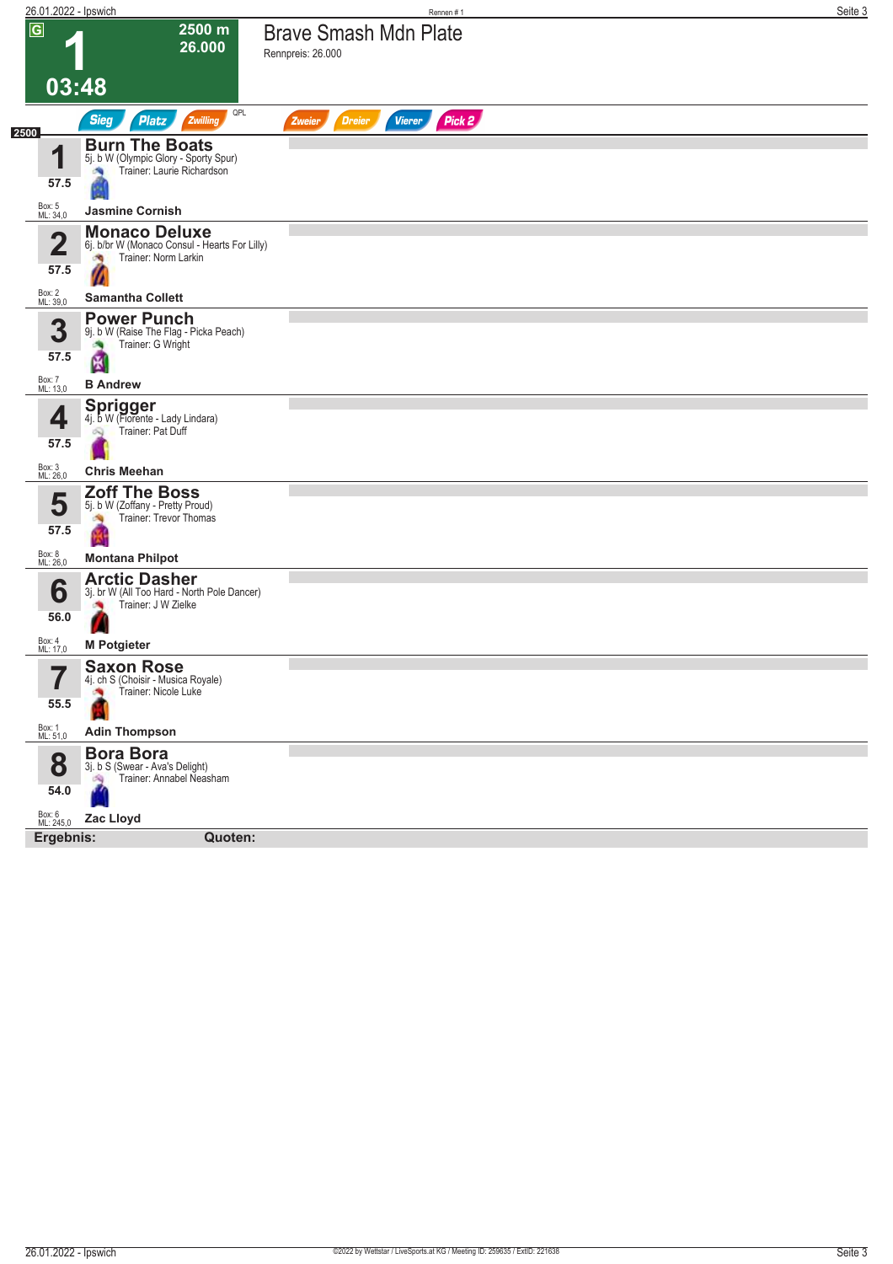| 26.01.2022 - Ipswich     |                                                                                    | Rennen #1                                          | Seite 3 |
|--------------------------|------------------------------------------------------------------------------------|----------------------------------------------------|---------|
| $\overline{G}$           | 2500 m                                                                             | <b>Brave Smash Mdn Plate</b>                       |         |
|                          | 26.000                                                                             | Rennpreis: 26.000                                  |         |
| 03:48                    |                                                                                    |                                                    |         |
|                          | QPL<br><b>Sieg</b><br><b>Platz</b><br>Zwilling                                     | Pick 2<br><b>Vierer</b><br><b>Dreier</b><br>Zweier |         |
| 2500                     | <b>Burn The Boats</b>                                                              |                                                    |         |
| 1                        | 5j. b W (Olympic Glory - Sporty Spur)<br>Trainer: Laurie Richardson                |                                                    |         |
| 57.5                     |                                                                                    |                                                    |         |
| Box: 5<br>ML: 34,0       | <b>Jasmine Cornish</b>                                                             |                                                    |         |
| $\mathbf 2$              | <b>Monaco Deluxe</b><br>6j. b/br W (Monaco Consul - Hearts For Lilly)              |                                                    |         |
| 57.5                     | Trainer: Norm Larkin<br>熵                                                          |                                                    |         |
| Box: 2<br>ML: 39,0       | <b>Samantha Collett</b>                                                            |                                                    |         |
| 3                        | <b>Power Punch</b><br>9j. b W (Raise The Flag - Picka Peach)                       |                                                    |         |
| 57.5                     | Trainer: G Wright                                                                  |                                                    |         |
| Box: 7<br>ML: 13,0       | 图<br><b>B</b> Andrew                                                               |                                                    |         |
|                          | <b>Sprigger</b>                                                                    |                                                    |         |
| 4                        | 4j. b W (Fiorente - Lady Lindara)<br>Trainer: Pat Duff<br>ON,                      |                                                    |         |
| 57.5                     |                                                                                    |                                                    |         |
| Box: 3<br>ML: 26,0       | <b>Chris Meehan</b>                                                                |                                                    |         |
| 5                        | <b>Zoff The Boss</b><br>5j. b W (Zoffany - Pretty Proud)<br>Trainer: Trevor Thomas |                                                    |         |
| 57.5                     |                                                                                    |                                                    |         |
| Box: 8<br>ML: 26,0       | <b>Montana Philpot</b>                                                             |                                                    |         |
| 6                        | <b>Arctic Dasher</b><br>3j. br W (All Too Hard - North Pole Dancer)                |                                                    |         |
| 56.0                     | Trainer: J W Zielke<br>漁                                                           |                                                    |         |
| Box: 4<br>ML: 17,0       | z<br><b>M Potgieter</b>                                                            |                                                    |         |
| $\overline{\phantom{a}}$ | <b>Saxon Rose</b>                                                                  |                                                    |         |
| I                        | 4j. ch S (Choisir - Musica Royale)<br>Trainer: Nicole Luke                         |                                                    |         |
| 55.5                     |                                                                                    |                                                    |         |
| Box: 1<br>ML: 51,0       | <b>Adin Thompson</b>                                                               |                                                    |         |
| 8                        | <b>Bora Bora</b><br>3j. b S (Swear - Ava's Delight)<br>Trainer: Annabel Neasham    |                                                    |         |
| 54.0                     |                                                                                    |                                                    |         |
| Box: 6<br>ML: 245,0      | Zac Lloyd                                                                          |                                                    |         |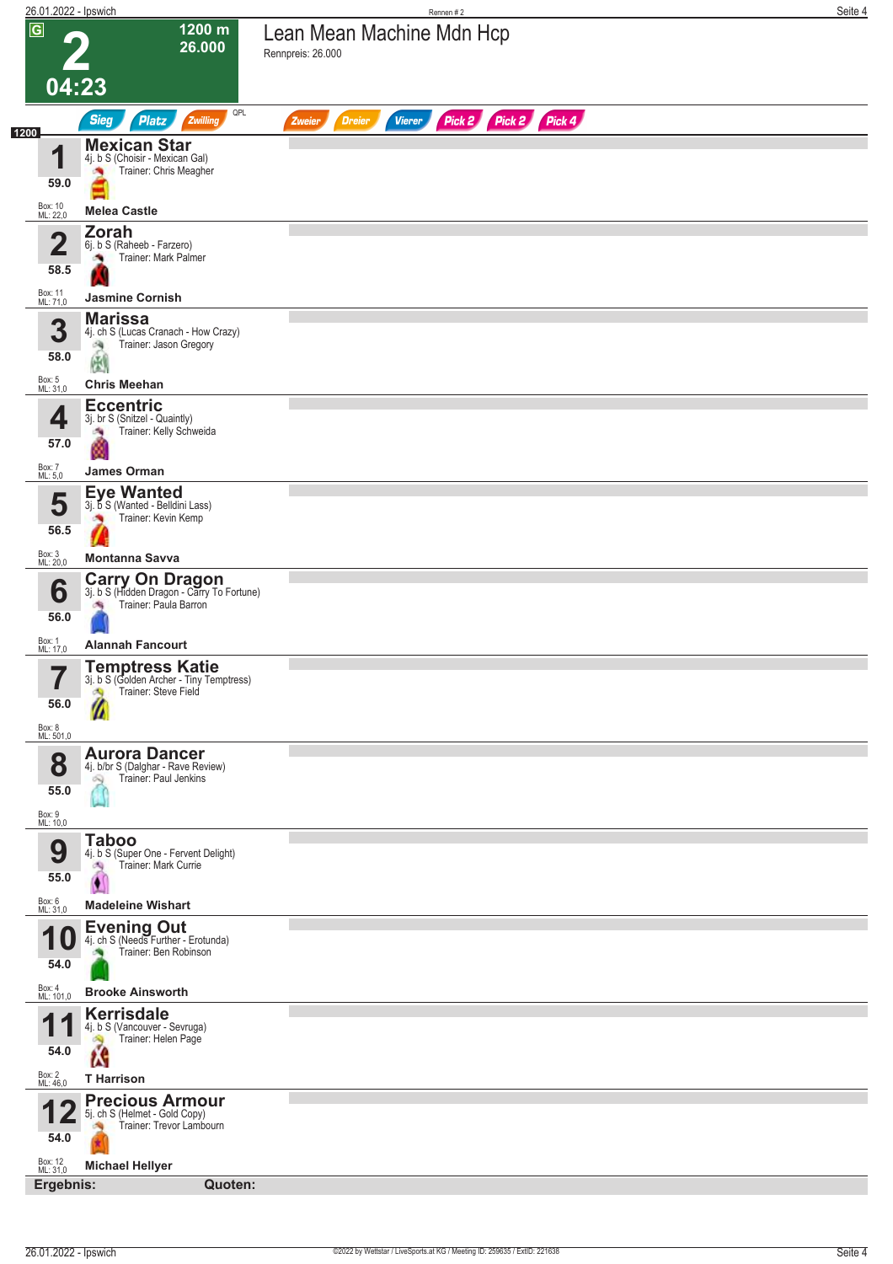|                             | 26.01.2022 - Ipswich                                                                | Rennen #2                                                        | Seite 4 |
|-----------------------------|-------------------------------------------------------------------------------------|------------------------------------------------------------------|---------|
| $\overline{G}$              | 1200 m<br>26.000                                                                    | Lean Mean Machine Mdn Hcp<br>Rennpreis: 26.000                   |         |
| 04:23                       |                                                                                     |                                                                  |         |
| 1200                        | QPL<br><b>Sieg</b><br><b>Platz</b><br>Zwilling                                      | Pick 2 Pick 2 Pick 4<br><b>Dreier</b><br><b>Vierer</b><br>Zweier |         |
| И                           | <b>Mexican Star</b><br>4j. b S (Choisir - Mexican Gal)                              |                                                                  |         |
| 59.0                        | Trainer: Chris Meagher                                                              |                                                                  |         |
| Box: 10<br>ML: 22,0         | <b>Melea Castle</b>                                                                 |                                                                  |         |
| $\overline{\mathbf{2}}$     | <b>Zorah</b><br>6j. b S (Raheeb - Farzero)<br>Trainer: Mark Palmer                  |                                                                  |         |
| 58.5<br>Box: 11<br>ML: 71,0 | <b>Jasmine Cornish</b>                                                              |                                                                  |         |
|                             | <b>Marissa</b>                                                                      |                                                                  |         |
| 3                           | 4j. ch S (Lucas Cranach - How Crazy)<br>Trainer: Jason Gregory<br>阀                 |                                                                  |         |
| 58.0                        | 恩                                                                                   |                                                                  |         |
| Box: 5<br>ML: 31,0          | <b>Chris Meehan</b>                                                                 |                                                                  |         |
| 4                           | <b>Eccentric</b><br>3j. br S (Snitzel - Quaintly)                                   |                                                                  |         |
| 57.0                        | Trainer: Kelly Schweida<br>÷,                                                       |                                                                  |         |
| Box: 7<br>ML: 5,0           | <b>James Orman</b>                                                                  |                                                                  |         |
| 5                           | <b>Eye Wanted</b><br>3j. b S (Wanted - Belldini Lass)                               |                                                                  |         |
| 56.5                        | Trainer: Kevin Kemp                                                                 |                                                                  |         |
| Box: 3<br>ML: 20,0          | <b>Montanna Savva</b>                                                               |                                                                  |         |
|                             | <b>Carry On Dragon</b><br>3j. b S (Hidden Dragon - Carry To Fortune)                |                                                                  |         |
| 6<br>56.0                   | Trainer: Paula Barron<br>确                                                          |                                                                  |         |
| Box: 1                      | <b>Alannah Fancourt</b>                                                             |                                                                  |         |
| ML: 17,0<br>57              | <b>Temptress Katie</b>                                                              |                                                                  |         |
| ı                           | 3j. b S (Golden Archer - Tiny Temptress)<br>Trainer: Steve Field<br>۵Ŋ              |                                                                  |         |
| 56.0                        |                                                                                     |                                                                  |         |
| Box: 8<br>ML: 501,0         |                                                                                     |                                                                  |         |
| 8                           | <b>Aurora Dancer</b><br>4j. b/br S (Dalghar - Rave Review)<br>Trainer: Paul Jenkins |                                                                  |         |
| 55.0                        | Q                                                                                   |                                                                  |         |
| Box: 9<br>ML: 10,0          |                                                                                     |                                                                  |         |
| 9                           | <b>Taboo</b><br>4j. b S (Super One - Fervent Delight)                               |                                                                  |         |
| 55.0                        | Trainer: Mark Currie<br>-S)<br>$\bullet$                                            |                                                                  |         |
| Box: 6<br>ML: 31,0          | <b>Madeleine Wishart</b>                                                            |                                                                  |         |
|                             | Evening Out<br>4j. ch S (Needs Further - Erotunda)                                  |                                                                  |         |
| 10                          | Trainer: Ben Robinson                                                               |                                                                  |         |
| 54.0                        |                                                                                     |                                                                  |         |
| Box: 4<br>ML: 101,0         | <b>Brooke Ainsworth</b><br><b>Kerrisdale</b>                                        |                                                                  |         |
| 1<br>P                      | 4j. b S (Vancouver - Sevruga)<br>Trainer: Helen Page<br>Ô.                          |                                                                  |         |
| 54.0                        | <b>T</b> Harrison                                                                   |                                                                  |         |
| Box: 2<br>ML: 46,0          | <b>Precious Armour</b>                                                              |                                                                  |         |
|                             | 5j. ch S (Helmet - Gold Copy)<br>Trainer: Trevor Lambourn                           |                                                                  |         |
| 54.0<br>Box: 12<br>ML: 31,0 | <b>Michael Hellyer</b>                                                              |                                                                  |         |
|                             | Ergebnis:<br>Quoten:                                                                |                                                                  |         |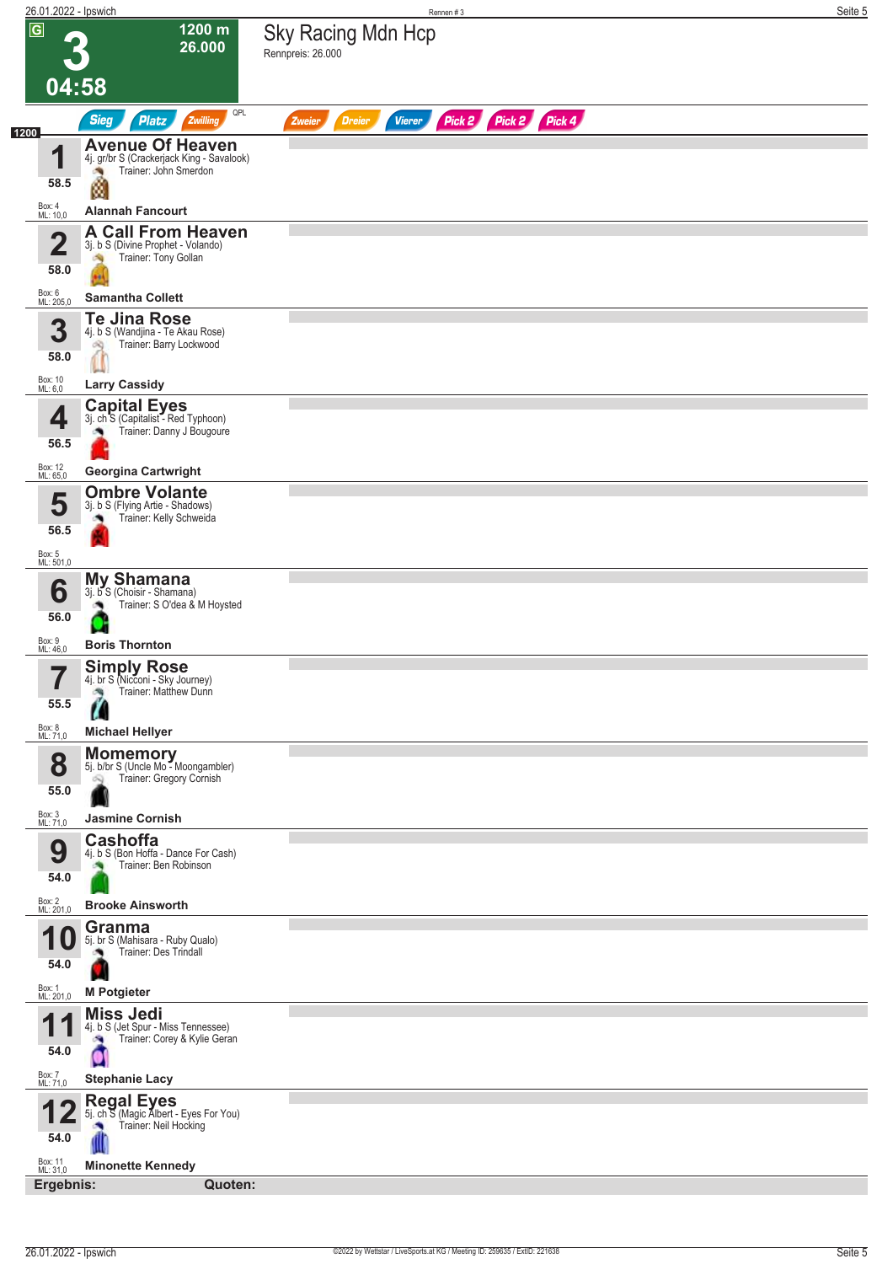| 26.01.2022 - Ipswich    |                                                                                         | Rennen#3                                                         | Seite 5 |
|-------------------------|-----------------------------------------------------------------------------------------|------------------------------------------------------------------|---------|
| $\overline{G}$          | 1200 m<br>26.000                                                                        | <b>Sky Racing Mdn Hcp</b><br>Rennpreis: 26.000                   |         |
|                         |                                                                                         |                                                                  |         |
| 04:58                   |                                                                                         |                                                                  |         |
| 1200                    | QPL<br><b>Sieg</b><br><b>Platz</b><br>Zwilling                                          | Pick 2 Pick 2 Pick 4<br><b>Vierer</b><br><b>Dreier</b><br>Zweier |         |
| и                       | <b>Avenue Of Heaven</b><br>4j. gr/br S (Crackerjack King - Savalook)                    |                                                                  |         |
| 58.5                    | Trainer: John Smerdon<br>ø                                                              |                                                                  |         |
| Box: 4<br>ML: 10,0      | <b>Alannah Fancourt</b>                                                                 |                                                                  |         |
| $\overline{\mathbf{2}}$ | <b>A Call From Heaven</b><br>3j. b S (Divine Prophet - Volando)                         |                                                                  |         |
| 58.0                    | Trainer: Tony Gollan<br>淘                                                               |                                                                  |         |
| Box: 6<br>ML: 205,0     | <b>Samantha Collett</b>                                                                 |                                                                  |         |
|                         | <b>Te Jina Rose</b>                                                                     |                                                                  |         |
| 3                       | 4j. b S (Wandjina - Te Akau Rose)<br>Trainer: Barry Lockwood<br>dig.                    |                                                                  |         |
| 58.0                    |                                                                                         |                                                                  |         |
| Box: 10<br>ML: 6,0      | <b>Larry Cassidy</b><br><b>Capital Eyes</b>                                             |                                                                  |         |
| 4                       | 3j. ch <sup>-</sup> S (Capitalist - Red Typhoon)<br>Trainer: Danny J Bougoure           |                                                                  |         |
| 56.5                    |                                                                                         |                                                                  |         |
| Box: 12<br>ML: 65,0     | <b>Georgina Cartwright</b>                                                              |                                                                  |         |
| 5                       | <b>Ombre Volante</b><br>3j. b S (Flying Artie - Shadows)<br>Trainer: Kelly Schweida     |                                                                  |         |
| 56.5                    |                                                                                         |                                                                  |         |
| Box: 5<br>ML: 501,0     |                                                                                         |                                                                  |         |
| 6                       | <b>My Shamana</b><br>3j. b S (Choisir - Shamana)                                        |                                                                  |         |
| 56.0                    | Trainer: S O'dea & M Hoysted                                                            |                                                                  |         |
| Box: 9<br>ML: 46,0      | <b>Boris Thornton</b>                                                                   |                                                                  |         |
| 7                       | <b>Simply Rose</b><br>4j. br S (Nicconi - Sky Journey)                                  |                                                                  |         |
| $\blacksquare$<br>55.5  | Trainer: Matthew Dunn<br>鸿                                                              |                                                                  |         |
| Box: 8<br>ML: 71,0      | <b>Michael Hellyer</b>                                                                  |                                                                  |         |
| 8                       | <b>Momemory</b><br>5j. b/br S (Uncle Mo - Moongambler)                                  |                                                                  |         |
| 55.0                    | Trainer: Gregory Cornish                                                                |                                                                  |         |
| Box: 3<br>ML: 71,0      | <b>Jasmine Cornish</b>                                                                  |                                                                  |         |
|                         | <b>Cashoffa</b>                                                                         |                                                                  |         |
| 9                       | 4j. b S (Bon Hoffa - Dance For Cash)<br>Trainer: Ben Robinson                           |                                                                  |         |
| 54.0                    |                                                                                         |                                                                  |         |
| Box: 2<br>ML: 201,0     | <b>Brooke Ainsworth</b><br>Granma                                                       |                                                                  |         |
|                         | 5j. br S (Mahisara - Ruby Qualo)<br>Trainer: Des Trindall                               |                                                                  |         |
| 54.0                    |                                                                                         |                                                                  |         |
| Box: 1<br>ML: 201,0     | <b>M</b> Potgieter                                                                      |                                                                  |         |
|                         | <b>Miss Jedi</b><br>4j. b S (Jet Spur - Miss Tennessee)<br>Trainer: Corey & Kylie Geran |                                                                  |         |
| 54.0                    |                                                                                         |                                                                  |         |
| Box: 7<br>ML: 71,0      | <b>Stephanie Lacy</b>                                                                   |                                                                  |         |
|                         | <b>Regal Eyes</b><br>5j. ch S (Magic Albert - Eyes For You)                             |                                                                  |         |
| 54.0                    | Trainer: Neil Hocking                                                                   |                                                                  |         |
| Box: 11<br>ML: 31,0     | <b>Minonette Kennedy</b>                                                                |                                                                  |         |
| Ergebnis:               | Quoten:                                                                                 |                                                                  |         |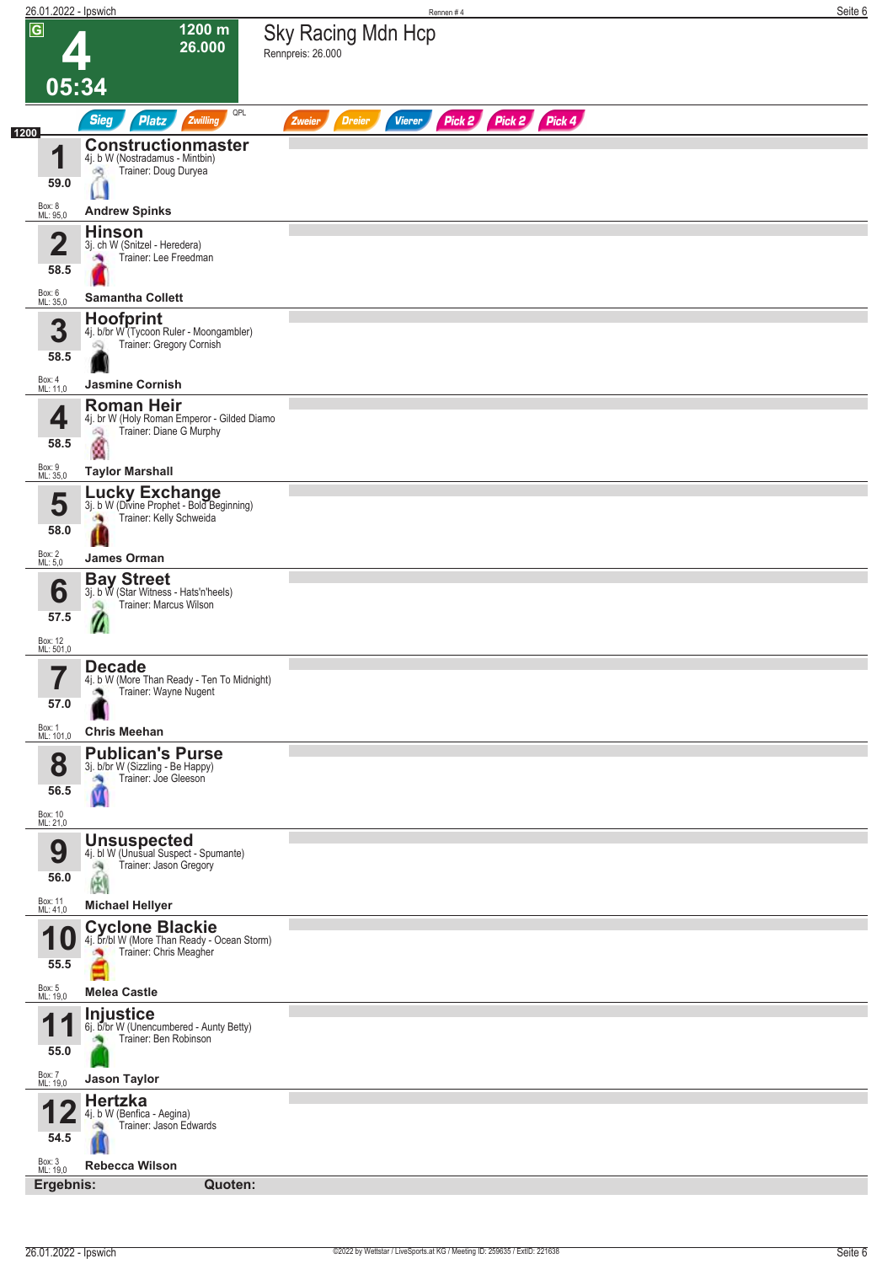|                         | 26.01.2022 - Ipswich                                                                  | Rennen#4                                                         | Seite 6 |
|-------------------------|---------------------------------------------------------------------------------------|------------------------------------------------------------------|---------|
| $\overline{G}$          | 1200 m<br>26.000                                                                      | Sky Racing Mdn Hcp<br>Rennpreis: 26.000                          |         |
| 05:34                   |                                                                                       |                                                                  |         |
|                         | QPL<br><b>Sieg</b><br>Platz<br>Zwilling                                               | Pick 2 Pick 2 Pick 4<br><b>Dreier</b><br><b>Vierer</b><br>Zweier |         |
|                         | <b>Constructionmaster</b>                                                             |                                                                  |         |
| И                       | 4j. b W (Nostradamus - Mintbin)<br>Trainer: Doug Duryea<br>dig                        |                                                                  |         |
| 59.0                    |                                                                                       |                                                                  |         |
| Box: 8<br>ML: 95,0      | <b>Andrew Spinks</b>                                                                  |                                                                  |         |
| $\overline{\mathbf{2}}$ | <b>Hinson</b><br>3j. ch W (Snitzel - Heredera)                                        |                                                                  |         |
| 58.5                    | Trainer: Lee Freedman<br>o.                                                           |                                                                  |         |
| Box: 6<br>ML: 35,0      | <b>Samantha Collett</b>                                                               |                                                                  |         |
| 3                       | Hoofprint                                                                             |                                                                  |         |
|                         | 4j. b/br W"(Tycoon Ruler - Moongambler)<br>Trainer: Gregory Cornish<br>ಇ              |                                                                  |         |
| 58.5                    |                                                                                       |                                                                  |         |
| Box: 4<br>ML: 11,0      | <b>Jasmine Cornish</b><br><b>Roman Heir</b>                                           |                                                                  |         |
| 4                       | 4j. br W (Holy Roman Emperor - Gilded Diamo<br>Trainer: Diane G Murphy<br>6Q          |                                                                  |         |
| 58.5                    | ø                                                                                     |                                                                  |         |
| Box: 9<br>ML: 35,0      | <b>Taylor Marshall</b>                                                                |                                                                  |         |
| 5                       | <b>Lucky Exchange</b><br>3j. b W (Divine Prophet - Bold Beginning)                    |                                                                  |         |
| 58.0                    | Trainer: Kelly Schweida<br><b>CALL</b>                                                |                                                                  |         |
| Box: 2<br>ML: 5,0       | James Orman                                                                           |                                                                  |         |
|                         | <b>Bay Street</b><br>3j. b W (Star Witness - Hats'n'heels)                            |                                                                  |         |
| 6                       | Trainer: Marcus Wilson                                                                |                                                                  |         |
| 57.5                    |                                                                                       |                                                                  |         |
| Box: 12<br>ML: 501,0    |                                                                                       |                                                                  |         |
| ı                       | <b>Decade</b><br>4j. b W (More Than Ready - Ten To Midnight)<br>Trainer: Wayne Nugent |                                                                  |         |
| 57.0                    |                                                                                       |                                                                  |         |
| Box: 1<br>ML: 101,0     | <b>Chris Meehan</b>                                                                   |                                                                  |         |
| 8                       | <b>Publican's Purse</b><br>3j. b/br W (Sizzling - Be Happy)                           |                                                                  |         |
| 56.5                    | Trainer: Joe Gleeson<br>Ñ                                                             |                                                                  |         |
| Box: 10<br>ML: 21,0     |                                                                                       |                                                                  |         |
|                         | <b>Unsuspected</b><br>4j. bl W (Unusual Suspect - Spumante)                           |                                                                  |         |
| 9                       | Trainer: Jason Gregory                                                                |                                                                  |         |
| 56.0                    | 高國                                                                                    |                                                                  |         |
| Box: 11<br>ML: 41,0     | <b>Michael Hellyer</b>                                                                |                                                                  |         |
| и<br>U                  | <b>Cyclone Blackie</b><br>4j. br/bl W (More Than Ready - Ocean Storm)                 |                                                                  |         |
| 55.5                    | Trainer: Chris Meagher                                                                |                                                                  |         |
| Box: 5<br>ML: 19,0      | <b>Melea Castle</b>                                                                   |                                                                  |         |
|                         | <b>Injustice</b><br>6j. b/br W (Unencumbered - Aunty Betty)                           |                                                                  |         |
| 55.0                    | Trainer: Ben Robinson                                                                 |                                                                  |         |
| Box: 7<br>ML: 19,0      | <b>Jason Taylor</b>                                                                   |                                                                  |         |
|                         | <b>Hertzka</b>                                                                        |                                                                  |         |
|                         | 4j. b W (Benfica - Aegina)<br>Trainer: Jason Edwards                                  |                                                                  |         |
| 54.5                    |                                                                                       |                                                                  |         |
| Box: 3<br>ML: 19,0      | <b>Rebecca Wilson</b>                                                                 |                                                                  |         |
| Ergebnis:               | Quoten:                                                                               |                                                                  |         |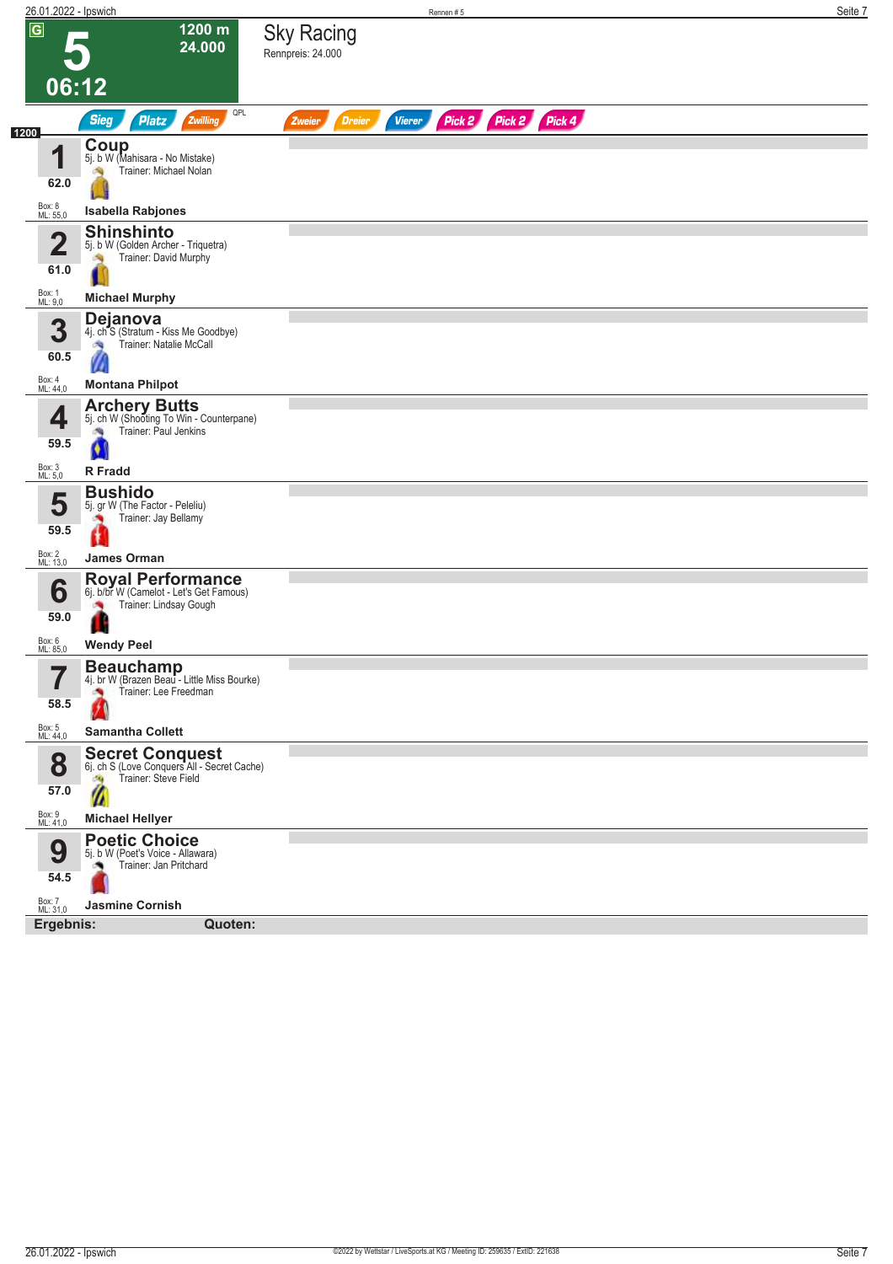| 26.01.2022 - Ipswich            |                                                                                                                     |                                        |               |               | Rennen#5             |  |  | Seite 7 |
|---------------------------------|---------------------------------------------------------------------------------------------------------------------|----------------------------------------|---------------|---------------|----------------------|--|--|---------|
| $\overline{\mathsf{G}}$         | 1200 m<br>24.000<br>06:12                                                                                           | <b>Sky Racing</b><br>Rennpreis: 24.000 |               |               |                      |  |  |         |
|                                 | QPL<br><b>Sieg</b><br><b>Platz</b><br>Zwilling                                                                      | Zweier                                 | <b>Dreier</b> | <b>Vierer</b> | Pick 2 Pick 2 Pick 4 |  |  |         |
| 1200<br>4                       | <b>Coup</b><br>5j. b W (Mahisara - No Mistake)<br>Trainer: Michael Nolan                                            |                                        |               |               |                      |  |  |         |
| 62.0<br>Box: 8<br>ML: 55,0      | <b>Isabella Rabjones</b>                                                                                            |                                        |               |               |                      |  |  |         |
|                                 | <b>Shinshinto</b>                                                                                                   |                                        |               |               |                      |  |  |         |
| $\overline{\mathbf{2}}$<br>61.0 | 5j. b W (Golden Archer - Triquetra)<br>Trainer: David Murphy                                                        |                                        |               |               |                      |  |  |         |
| Box: 1<br>ML: 9,0               | <b>Michael Murphy</b>                                                                                               |                                        |               |               |                      |  |  |         |
| 3<br>60.5                       | Dejanova<br>4j. ch <sup>3</sup> (Stratum - Kiss Me Goodbye)<br>Trainer: Natalie McCall<br>淘                         |                                        |               |               |                      |  |  |         |
| Box: 4<br>ML: 44,0              | <b>Montana Philpot</b>                                                                                              |                                        |               |               |                      |  |  |         |
| 4<br>59.5                       | <b>Archery Butts</b><br>5j. ch W (Shooting To Win - Counterpane)<br>Trainer: Paul Jenkins                           |                                        |               |               |                      |  |  |         |
| Box: 3<br>ML: 5,0               | <b>R</b> Fradd                                                                                                      |                                        |               |               |                      |  |  |         |
| 5<br>59.5                       | <b>Bushido</b><br>5j. gr W (The Factor - Peleliu)<br>Trainer: Jay Bellamy                                           |                                        |               |               |                      |  |  |         |
| Box: 2<br>ML: 13,0              | James Orman                                                                                                         |                                        |               |               |                      |  |  |         |
| 6<br>59.0<br>Box: 6             | <b>Royal Performance</b><br>6j. b/br W (Camelot - Let's Get Famous)<br>Trainer: Lindsay Gough                       |                                        |               |               |                      |  |  |         |
| ML: 85,0<br>7<br>58.5           | <b>Wendy Peel</b><br><b>Beauchamp</b><br>4j. br W (Brazen Beau - Little Miss Bourke)<br>Trainer: Lee Freedman<br>o. |                                        |               |               |                      |  |  |         |
| Box: 5<br>ML: 44,0              | <b>Samantha Collett</b>                                                                                             |                                        |               |               |                      |  |  |         |
| 8<br>57.0                       | Secret Conquest<br>6j. ch S (Love Conquers All - Secret Cache)<br>Trainer: Steve Field<br>dig.<br>$\mathbf{\ell}$   |                                        |               |               |                      |  |  |         |
| Box: 9<br>ML: 41,0              | <b>Michael Hellyer</b>                                                                                              |                                        |               |               |                      |  |  |         |
| 9<br>54.5<br>Box: 7<br>ML: 31,0 | <b>Poetic Choice</b><br>5j. b W (Poet's Voice - Allawara)<br>Trainer: Jan Pritchard<br><b>Jasmine Cornish</b>       |                                        |               |               |                      |  |  |         |
| Ergebnis:                       | Quoten:                                                                                                             |                                        |               |               |                      |  |  |         |
|                                 |                                                                                                                     |                                        |               |               |                      |  |  |         |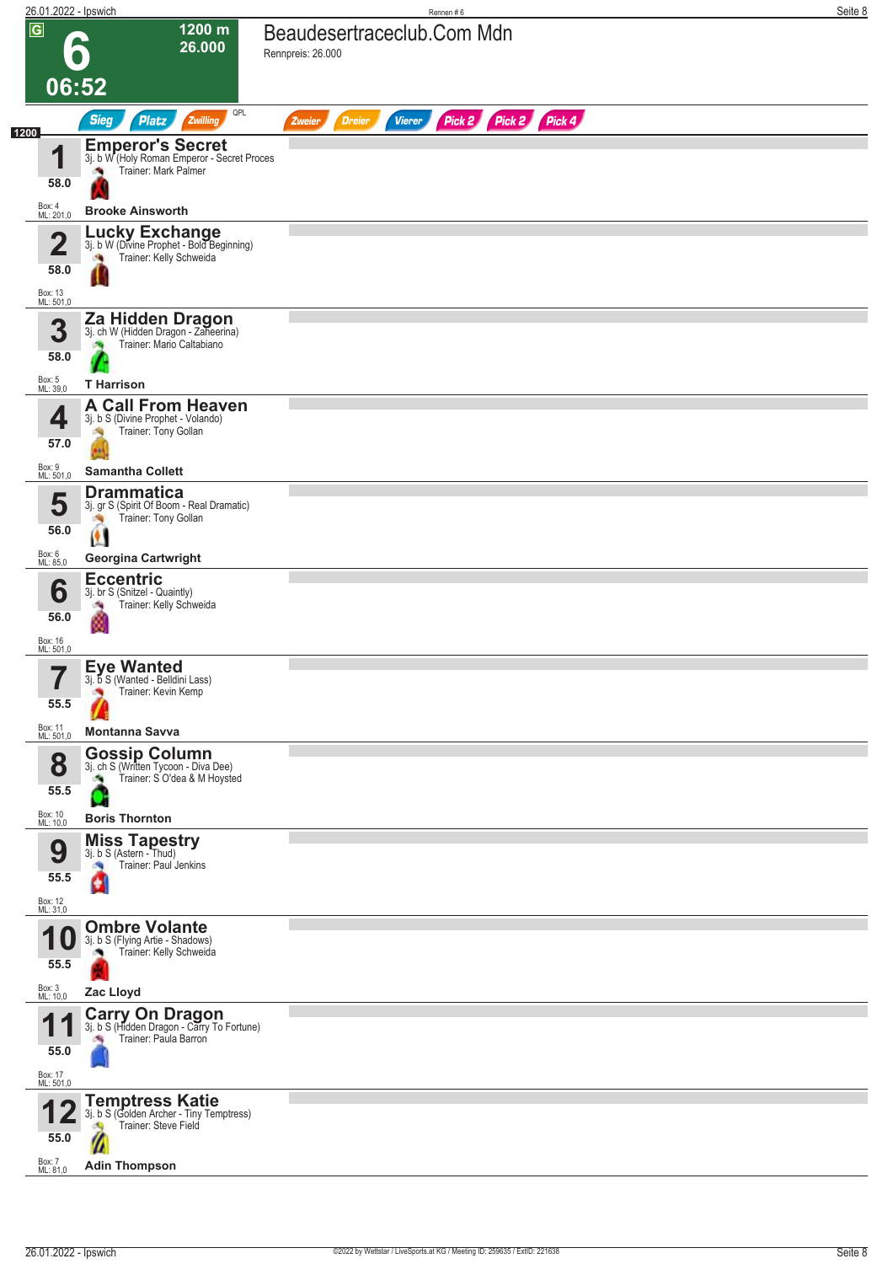| 26.01.2022 - Ipswich                           |                                                                                                                          | Rennen#6                                                         | Seite 8 |
|------------------------------------------------|--------------------------------------------------------------------------------------------------------------------------|------------------------------------------------------------------|---------|
| $\overline{G}$                                 | 1200 m<br>26.000<br>06:52                                                                                                | Beaudesertraceclub.Com Mdn<br>Rennpreis: 26.000                  |         |
|                                                | QPL<br><b>Sieg</b><br><b>Platz</b><br>Zwilling                                                                           | Pick 2 Pick 2 Pick 4<br><b>Vierer</b><br><b>Dreier</b><br>Zweier |         |
| 1200<br>4<br>58.0                              | Emperor's Secret<br>3j. b W (Holy Roman Emperor - Secret Proces<br>Trainer: Mark Palmer                                  |                                                                  |         |
| Box: 4<br>ML: 201,0                            | <b>Brooke Ainsworth</b>                                                                                                  |                                                                  |         |
| 4<br>∠<br>58.0                                 | Lucky Exchange<br>3j. b W (Divine Prophet - Bold Beginning)<br>Trainer: Kelly Schweida                                   |                                                                  |         |
| Box: 13<br>ML: 501,0<br>3<br>58.0              | Za Hidden Dragon<br>3j. ch W (Hidden Dragon - Zaheerina)<br>Trainer: Mario Caltabiano<br><b>CO</b>                       |                                                                  |         |
| Box: 5<br>ML: 39,0                             | <b>T</b> Harrison                                                                                                        |                                                                  |         |
| 4<br>57.0                                      | <b>A Call From Heaven</b><br>3j. b S (Divine Prophet - Volando)<br>Trainer: Tony Gollan                                  |                                                                  |         |
| Box: 9<br>ML: 501,0                            | <b>Samantha Collett</b>                                                                                                  |                                                                  |         |
| 5<br>56.0                                      | <b>Drammatica</b><br>3j. gr S (Spirit Of Boom - Real Dramatic)<br>Trainer: Tony Gollan                                   |                                                                  |         |
| Box: 6<br>ML: 85,0                             | <b>Georgina Cartwright</b>                                                                                               |                                                                  |         |
| 6<br>56.0<br>Box: 16                           | <b>Eccentric</b><br>3j. br S (Snitzel - Quaintly)<br>Trainer: Kelly Schweida                                             |                                                                  |         |
| ML: 501,0<br>7<br>55.5<br>Box: 11<br>ML: 501,0 | <b>Eye Wanted</b><br>3j. b S (Wanted - Belidini Lass)<br>Trainer: Kevin Kemp<br><b>Montanna Savva</b>                    |                                                                  |         |
| 8<br>55.5<br>Box: 10                           | <b>Gossip Column</b><br>3j. ch S (Written Tycoon - Diva Dee)<br>Trainer: S O'dea & M Hoysted<br><b>Boris Thornton</b>    |                                                                  |         |
| ML: 10,0<br>9<br>55.5<br>Box: 12<br>ML: 31,0   | <b>Miss Tapestry</b><br>3j. b S (Astern - Thud)<br>Trainer: Paul Jenkins<br>e                                            |                                                                  |         |
| 1 U<br>55.5<br>Box: 3<br>ML: 10,0              | <b>Ombre Volante</b><br>3j. b S (Flying Artie - Shadows)<br>Trainer: Kelly Schweida<br>Zac Lloyd                         |                                                                  |         |
| 55.0<br>Box: 17<br>ML: 501,0                   | <b>Carry On Dragon</b><br>3j. b S (Hidden Dragon - Carry To Fortune)<br>Trainer: Paula Barron                            |                                                                  |         |
| 55.0<br>Box: 7<br>ML: 81,0                     | <b>Temptress Katie</b><br>3j. b S (Golden Archer - Tiny Temptress)<br>Trainer: Steve Field<br>۵Q<br><b>Adin Thompson</b> |                                                                  |         |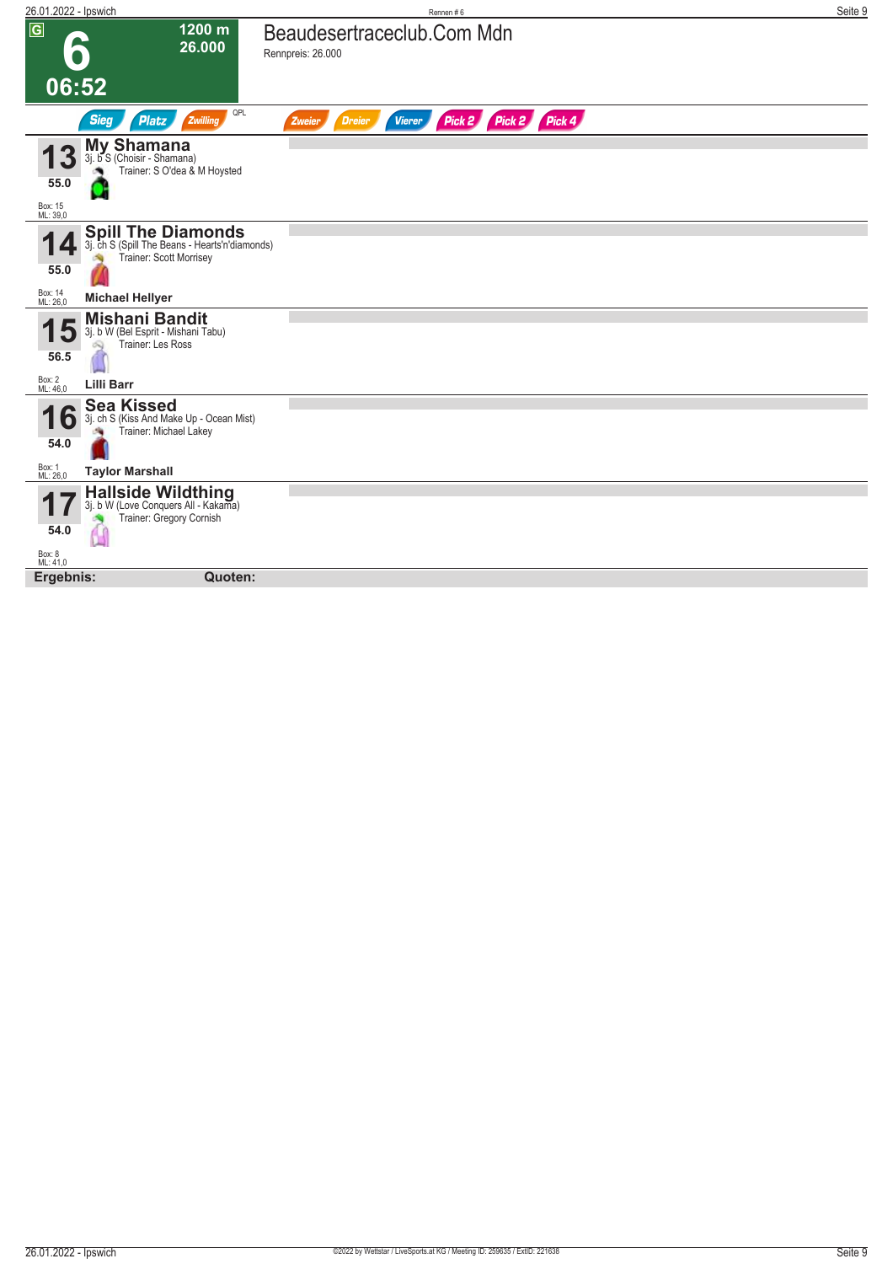| 26.01.2022 - Ipswich        |                                                                                                        | Rennen #6                                                           | Seite 9 |
|-----------------------------|--------------------------------------------------------------------------------------------------------|---------------------------------------------------------------------|---------|
| $\sqrt{G}$                  | 1200 m<br>26.000                                                                                       | Beaudesertraceclub.Com Mdn<br>Rennpreis: 26.000                     |         |
| 06:52                       |                                                                                                        |                                                                     |         |
|                             | QPL<br><b>Sieg</b><br><b>Platz</b><br>Zwilling                                                         | Pick 2<br>Pick 2 Pick 4<br><b>Vierer</b><br><b>Dreier</b><br>Zweier |         |
| 3                           | <b>My Shamana</b><br>3j. b S (Choisir - Shamana)<br>Trainer: S O'dea & M Hoysted                       |                                                                     |         |
| 55.0<br>Box: 15<br>ML: 39,0 |                                                                                                        |                                                                     |         |
| 55.0                        | <b>Spill The Diamonds</b><br>3j. ch S (Spill The Beans - Hearts'n'diamonds)<br>Trainer: Scott Morrisey |                                                                     |         |
| Box: 14<br>ML: 26,0         | <b>Michael Hellyer</b>                                                                                 |                                                                     |         |
| J<br>56.5                   | <b>Mishani Bandit</b><br>3j. b W (Bel Esprit - Mishani Tabu)<br>Trainer: Les Ross                      |                                                                     |         |
| Box: 2<br>ML: 46,0          | <b>Lilli Barr</b>                                                                                      |                                                                     |         |
| O<br>54.0                   | <b>Sea Kissed</b><br>3j. ch S (Kiss And Make Up - Ocean Mist)<br>Trainer: Michael Lakey                |                                                                     |         |
| Box: 1<br>ML: 26,0          | <b>Taylor Marshall</b>                                                                                 |                                                                     |         |
| 54.0                        | <b>Hallside Wildthing</b><br>3j. b W (Love Conquers All - Kakama)<br>Trainer: Gregory Cornish          |                                                                     |         |
| Box: 8<br>ML: 41,0          |                                                                                                        |                                                                     |         |
| Ergebnis:                   | Quoten:                                                                                                |                                                                     |         |
|                             |                                                                                                        |                                                                     |         |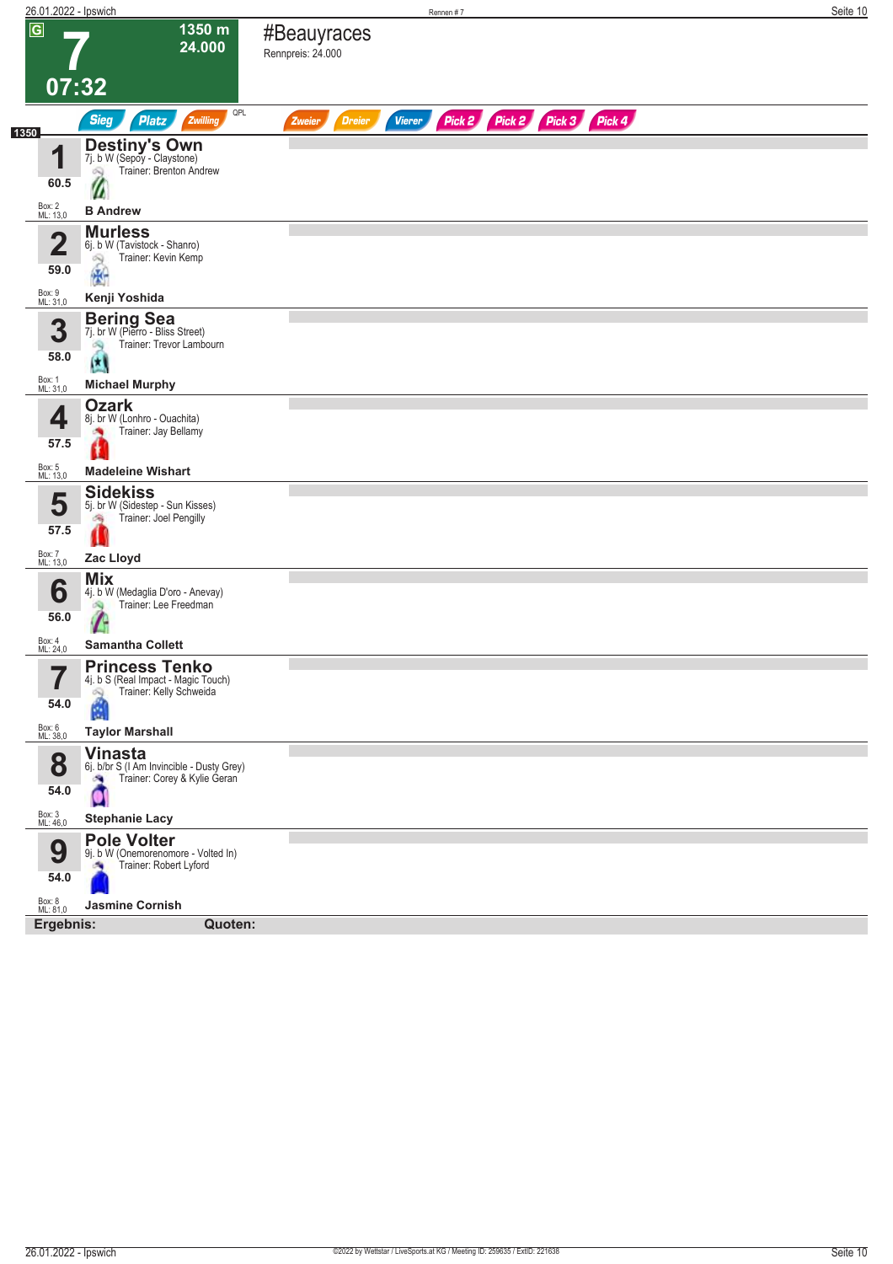| 26.01.2022 - Ipswich |                                                                                                     |                                  |                                | Rennen #7 |                             |  | Seite 10 |
|----------------------|-----------------------------------------------------------------------------------------------------|----------------------------------|--------------------------------|-----------|-----------------------------|--|----------|
| $\overline{G}$       | 1350 m<br>24.000                                                                                    | #Beauyraces<br>Rennpreis: 24.000 |                                |           |                             |  |          |
|                      |                                                                                                     |                                  |                                |           |                             |  |          |
|                      | 07:32<br>QPL                                                                                        |                                  |                                |           |                             |  |          |
| 1350                 | <b>Sieg</b><br><b>Platz</b><br>Zwilling                                                             | Zweier                           | <b>Dreier</b><br><b>Vierer</b> |           | Pick 2 Pick 2 Pick 3 Pick 4 |  |          |
| 1                    | Destiny's Own<br>7j. b W (Sepoy - Claystone)<br>Trainer: Brenton Andrew<br>Q                        |                                  |                                |           |                             |  |          |
| 60.5                 |                                                                                                     |                                  |                                |           |                             |  |          |
| Box: 2<br>ML: 13,0   | <b>B</b> Andrew                                                                                     |                                  |                                |           |                             |  |          |
| 4<br>∠<br>59.0       | <b>Murless</b><br>6j. b W (Tavistock - Shanro)<br>Trainer: Kevin Kemp<br>2                          |                                  |                                |           |                             |  |          |
| Box: 9<br>ML: 31,0   | 圈<br>Kenji Yoshida                                                                                  |                                  |                                |           |                             |  |          |
|                      |                                                                                                     |                                  |                                |           |                             |  |          |
| 3<br>58.0            | <b>Bering Sea</b><br>7j. br W (Pierro - Bliss Street)<br>Trainer: Trevor Lambourn<br>69<br>α        |                                  |                                |           |                             |  |          |
| Box: 1<br>ML: 31,0   | <b>Michael Murphy</b>                                                                               |                                  |                                |           |                             |  |          |
| 4                    | <b>Ozark</b><br>8j. br W (Lonhro - Ouachita)<br>Trainer: Jay Bellamy                                |                                  |                                |           |                             |  |          |
| 57.5                 | <b>Madeleine Wishart</b>                                                                            |                                  |                                |           |                             |  |          |
| Box: 5<br>ML: 13,0   | <b>Sidekiss</b>                                                                                     |                                  |                                |           |                             |  |          |
| 5<br>57.5            | 5j. br W (Sidestep - Sun Kisses)<br>Trainer: Joel Pengilly<br>湍                                     |                                  |                                |           |                             |  |          |
| Box: 7<br>ML: 13,0   | Zac Lloyd                                                                                           |                                  |                                |           |                             |  |          |
| 6                    | <b>Mix</b><br>4j. b W (Medaglia D'oro - Anevay)<br>Trainer: Lee Freedman                            |                                  |                                |           |                             |  |          |
| 56.0                 |                                                                                                     |                                  |                                |           |                             |  |          |
| Box: 4<br>ML: 24,0   | <b>Samantha Collett</b>                                                                             |                                  |                                |           |                             |  |          |
| 7<br>$\blacksquare$  | <b>Princess Tenko</b><br>4]. b S (Real Impact - Magic Touch)<br>Trainer: Kelly Schweida<br>$\infty$ |                                  |                                |           |                             |  |          |
| 54.0                 | M                                                                                                   |                                  |                                |           |                             |  |          |
| Box: 6<br>ML: 38,0   | <b>Taylor Marshall</b>                                                                              |                                  |                                |           |                             |  |          |
| 8<br>54.0            | <b>Vinasta</b><br>6j. b/br S (I Am Invincible - Dusty Grey)<br>Trainer: Corey & Kylie Geran<br>×    |                                  |                                |           |                             |  |          |
| Box: 3<br>ML: 46,0   |                                                                                                     |                                  |                                |           |                             |  |          |
|                      | <b>Stephanie Lacy</b><br><b>Pole Volter</b>                                                         |                                  |                                |           |                             |  |          |
| 9<br>54.0            | 9j. b W (Onemorenomore - Volted In)<br>Trainer: Robert Lyford                                       |                                  |                                |           |                             |  |          |
| Box: 8<br>ML: 81,0   | <b>Jasmine Cornish</b>                                                                              |                                  |                                |           |                             |  |          |
| Ergebnis:            | Quoten:                                                                                             |                                  |                                |           |                             |  |          |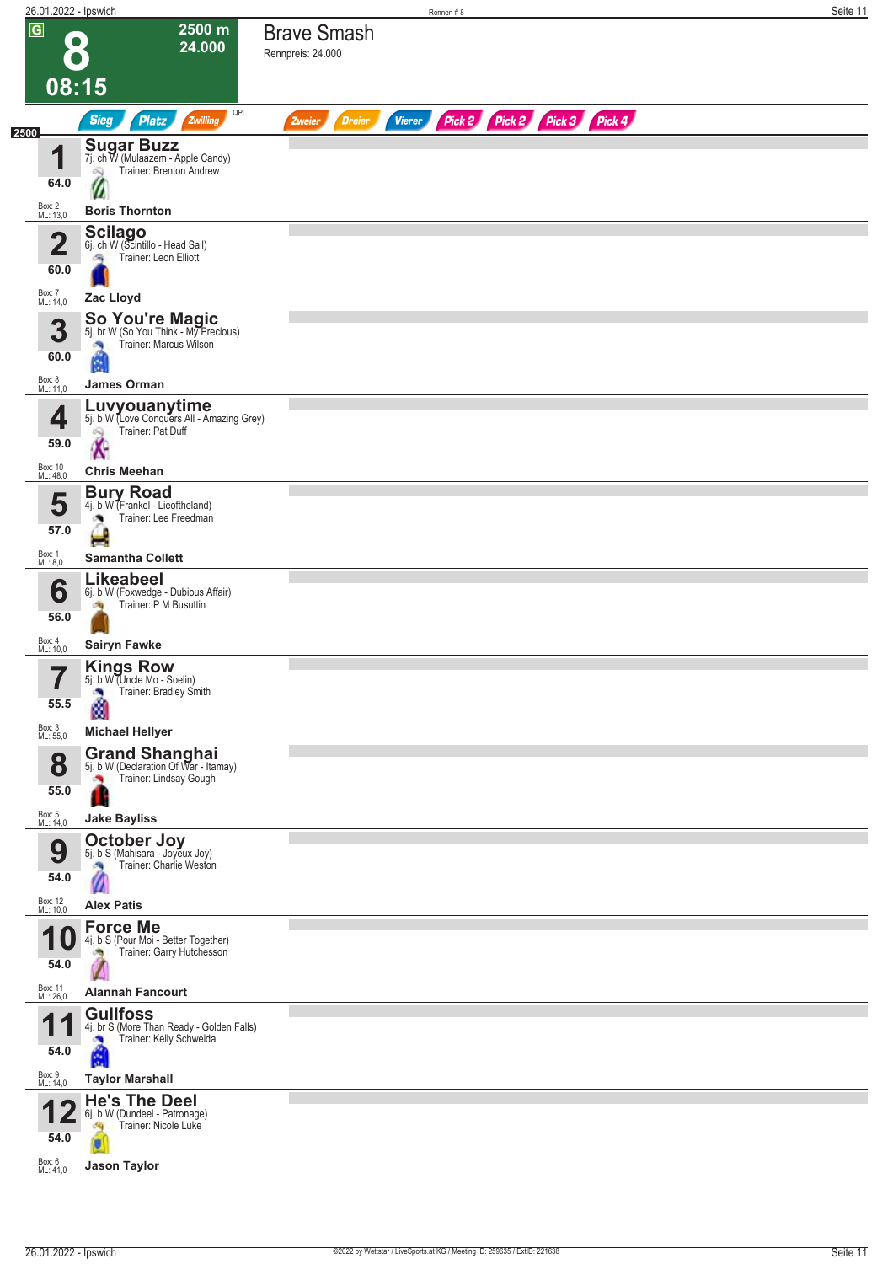| 26.01.2022 - Ipswich                              |                                                                                                          |                                          | Rennen#8                    | Seite 11 |
|---------------------------------------------------|----------------------------------------------------------------------------------------------------------|------------------------------------------|-----------------------------|----------|
| $\overline{G}$<br>$\bullet$<br>08:15              | 2500 m<br>24.000                                                                                         | <b>Brave Smash</b><br>Rennpreis: 24.000  |                             |          |
|                                                   | QPL<br>Zwilling                                                                                          |                                          |                             |          |
| 2500                                              | <b>Sieg</b><br>Platz<br><b>Sugar Buzz</b>                                                                | <b>Vierer</b><br><b>Dreier</b><br>Zweier | Pick 2 Pick 2 Pick 3 Pick 4 |          |
| 1                                                 | 7j. ch W (Mulaazem - Apple Candy)<br>Trainer: Brenton Andrew<br>Ñ                                        |                                          |                             |          |
| 64.0                                              |                                                                                                          |                                          |                             |          |
| Box: 2<br>ML: 13,0                                | <b>Boris Thornton</b>                                                                                    |                                          |                             |          |
| $\overline{\mathbf{2}}$<br>60.0                   | <b>Scilago</b><br>6j. ch W (Scintillo - Head Sail)<br>Trainer: Leon Elliott<br>鸿                         |                                          |                             |          |
| Box: 7<br>ML: 14,0                                | Zac Lloyd                                                                                                |                                          |                             |          |
| 3<br>60.0                                         | So You're Magic<br>5j. br W (So You Think - My Precious)<br>Trainer: Marcus Wilson<br>×,<br>Ġ.           |                                          |                             |          |
| Box: 8<br>ML: 11,0                                | <b>James Orman</b>                                                                                       |                                          |                             |          |
| 4<br>59.0                                         | Luvyouanytime<br>5j. b W (Love Conquers All - Amazing Grey)<br>Trainer: Pat Duff<br>$\hat{\mathbf{x}}$   |                                          |                             |          |
| Box: 10<br>ML: 48,0                               | <b>Chris Meehan</b>                                                                                      |                                          |                             |          |
| 5<br>57.0                                         | <b>Bury Road</b><br>4j. b W (Frankel - Lieoftheland)<br>Trainer: Lee Freedman<br>o.<br>H                 |                                          |                             |          |
| Box: 1<br>ML: 8,0                                 | <b>Samantha Collett</b>                                                                                  |                                          |                             |          |
| 6<br>56.0                                         | <b>Likeabeel</b><br>6j. b W (Foxwedge - Dubious Affair)<br>Trainer: P M Busuttin                         |                                          |                             |          |
| Box: 4<br>ML: 10,0                                | <b>Sairyn Fawke</b>                                                                                      |                                          |                             |          |
| 7<br>$\blacksquare$<br>55.5<br>Box: 3<br>ML: 55,0 | <b>Kings Row</b><br>5j. b W (Uncle Mo - Soelin)<br>Trainer: Bradley Smith<br>à<br><b>Michael Hellyer</b> |                                          |                             |          |
|                                                   | <b>Grand Shanghai</b> 5j. b W (Declaration Of War - Itamay)                                              |                                          |                             |          |
| 8<br>55.0                                         | Trainer: Lindsay Gough<br>×,<br>ш                                                                        |                                          |                             |          |
| Box: 5<br>ML: 14,0                                | <b>Jake Bayliss</b>                                                                                      |                                          |                             |          |
| 9<br>54.0                                         | <b>October Joy</b><br>5j. b S (Mahisara - Joyeux Joy)<br>Trainer: Charlie Weston<br>×                    |                                          |                             |          |
| Box: 12<br>ML: 10,0                               | <b>Alex Patis</b>                                                                                        |                                          |                             |          |
| 54.0                                              | <b>Force Me</b><br>4j. b S (Pour Moi - Better Together)<br>Trainer: Garry Hutchesson                     |                                          |                             |          |
| Box: 11<br>ML: 26,0                               | <b>Alannah Fancourt</b>                                                                                  |                                          |                             |          |
| И<br>×<br>54.0                                    | <b>Gullfoss</b><br>4j. br S (More Than Ready - Golden Falls)<br>Trainer: Kelly Schweida<br>Ø             |                                          |                             |          |
| Box: 9<br>ML: 14,0                                | <b>Taylor Marshall</b>                                                                                   |                                          |                             |          |
| 54.0                                              | <b>He's The Deel</b><br>6j. b W (Dundeel - Patronage)<br>Trainer: Nicole Luke<br>JQ.                     |                                          |                             |          |
| Box: 6<br>ML: 41,0                                | <b>Jason Taylor</b>                                                                                      |                                          |                             |          |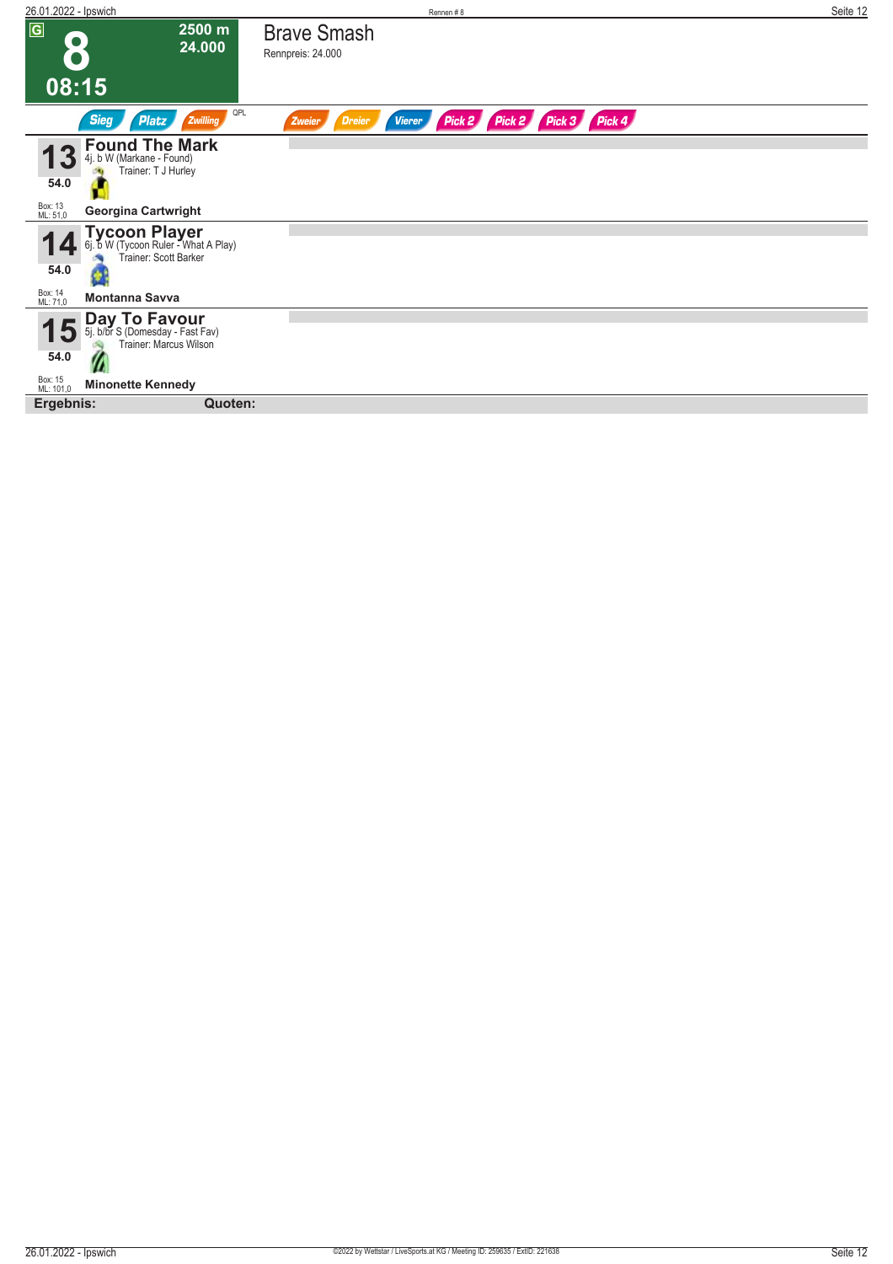| 26.01.2022 - Ipswich             |                                                                                                         |                                         | Rennen#8                |                      |  | Seite 12 |
|----------------------------------|---------------------------------------------------------------------------------------------------------|-----------------------------------------|-------------------------|----------------------|--|----------|
| $\sqrt{G}$<br>$\bullet$<br>08:15 | 2500 m<br>24.000                                                                                        | <b>Brave Smash</b><br>Rennpreis: 24.000 |                         |                      |  |          |
|                                  | QPL<br><b>Sieg</b><br>Zwilling<br><b>Platz</b>                                                          | <b>Dreier</b><br>Zweier                 | Pick 2<br><b>Vierer</b> | Pick 2 Pick 3 Pick 4 |  |          |
| 54.0<br>Box: 13<br>ML: 51,0      | <b>Found The Mark</b><br>4j. b W (Markane - Found)<br>Trainer: T J Hurley<br><b>Georgina Cartwright</b> |                                         |                         |                      |  |          |
|                                  |                                                                                                         |                                         |                         |                      |  |          |
| 54.0                             | <b>Tycoon Player</b><br>6j. b W (Tycoon Ruler - What A Play)<br>Trainer: Scott Barker                   |                                         |                         |                      |  |          |
| Box: 14<br>ML: 71,0              | <b>Montanna Savva</b>                                                                                   |                                         |                         |                      |  |          |
| 5<br>54.0                        | <b>Day To Favour</b><br>5j. b/br S (Domesday - Fast Fav)<br>Trainer: Marcus Wilson                      |                                         |                         |                      |  |          |
| Box: 15<br>ML: 101,0             | <b>Minonette Kennedy</b>                                                                                |                                         |                         |                      |  |          |
| Ergebnis:                        | Quoten:                                                                                                 |                                         |                         |                      |  |          |
|                                  |                                                                                                         |                                         |                         |                      |  |          |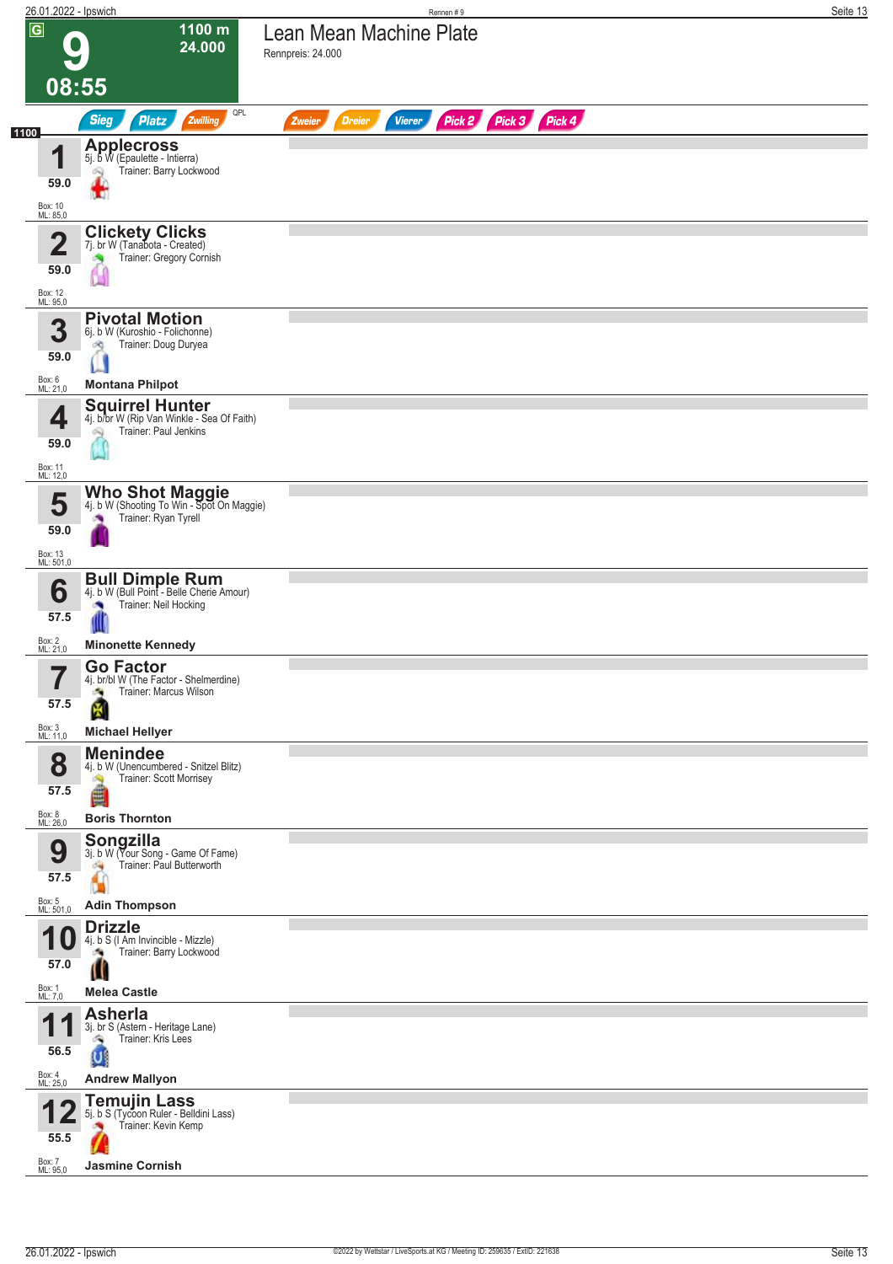| 26.01.2022 - Ipswich                                   |                                                                                                                      | Rennen #9                                                        | Seite 13 |
|--------------------------------------------------------|----------------------------------------------------------------------------------------------------------------------|------------------------------------------------------------------|----------|
| $\overline{G}$                                         | 1100 m<br>24.000                                                                                                     | Lean Mean Machine Plate<br>Rennpreis: 24.000                     |          |
| 08:55                                                  |                                                                                                                      |                                                                  |          |
| 1100                                                   | QPL<br><b>Sieg</b><br>Zwilling<br><b>Platz</b>                                                                       | Pick 2 Pick 3 Pick 4<br><b>Dreier</b><br><b>Vierer</b><br>Zweier |          |
| 1<br>59.0<br>Box: 10<br>ML: 85,0                       | <b>Applecross</b><br>5j. b W (Epaulette - Intierra)<br>Trainer: Barry Lockwood<br>ó.<br>ш                            |                                                                  |          |
| $\overline{\mathbf{2}}$<br>59.0<br>Box: 12<br>ML: 95,0 | <b>Clickety Clicks</b><br>7j. br W (Tanabota - Created)<br>Trainer: Gregory Cornish                                  |                                                                  |          |
| 3<br>59.0<br>Box: 6<br>ML: 21,0                        | <b>Pivotal Motion</b><br>6j. b W (Kuroshio - Folichonne)<br>Trainer: Doug Duryea<br>оq<br><b>Montana Philpot</b>     |                                                                  |          |
| 4<br>59.0<br>Box: 11<br>ML: 12,0                       | <b>Squirrel Hunter</b><br>4j. b/br W (Rip Van Winkle - Sea Of Faith)<br>Trainer: Paul Jenkins<br>ÓQ.                 |                                                                  |          |
| 5<br>59.0<br>Box: 13<br>ML: 501,0                      | Who Shot Maggie<br>4j. b W (Shooting To Win - Spot On Maggie)<br>Trainer: Ryan Tyrell<br>×                           |                                                                  |          |
| 6<br>57.5                                              | <b>Bull Dimple Rum</b><br>4j. b W (Bull Point - Belle Cherie Amour)<br>Trainer: Neil Hocking                         |                                                                  |          |
| Box: 2<br>ML: 21,0                                     | <b>Minonette Kennedy</b>                                                                                             |                                                                  |          |
| 7<br>ı<br>57.5<br>Box: 3<br>ML: 11,0                   | <b>Go Factor</b><br>4j. br/bl W (The Factor - Shelmerdine)<br>Trainer: Marcus Wilson<br>e.<br><b>Michael Hellyer</b> |                                                                  |          |
| 8<br>57.5                                              | <b>Menindee</b><br>4j. b W (Unencumbered - Snitzel Blitz)<br>Trainer: Scott Morrisey<br>Ø.<br>ê                      |                                                                  |          |
| Box: 8<br>ML: 26,0<br>9<br>57.5                        | <b>Boris Thornton</b><br>Songzilla<br>3j. b W (Your Song - Game Of Fame)<br>Trainer: Paul Butterworth<br>ंच          |                                                                  |          |
| Box: 5<br>ML: 501,0<br>U<br>57.0                       | <b>Adin Thompson</b><br><b>Drizzle</b><br>4j. b S (I Am Invincible - Mizzle)<br>Trainer: Barry Lockwood<br>u         |                                                                  |          |
| Box: 1<br>ML: 7,0                                      | <b>Melea Castle</b>                                                                                                  |                                                                  |          |
| И<br>56.5                                              | <b>Asherla</b><br>3j. br S (Astern - Heritage Lane)<br>Trainer: Kris Lees<br>U                                       |                                                                  |          |
| Box: 4<br>ML: 25,0                                     | <b>Andrew Mallyon</b>                                                                                                |                                                                  |          |
| 55.5<br>Box: 7                                         | <b>Temujin Lass</b><br>5j. b S (Tycoon Ruler - Belldini Lass)<br>Trainer: Kevin Kemp                                 |                                                                  |          |
| ML: 95,0                                               | <b>Jasmine Cornish</b>                                                                                               |                                                                  |          |